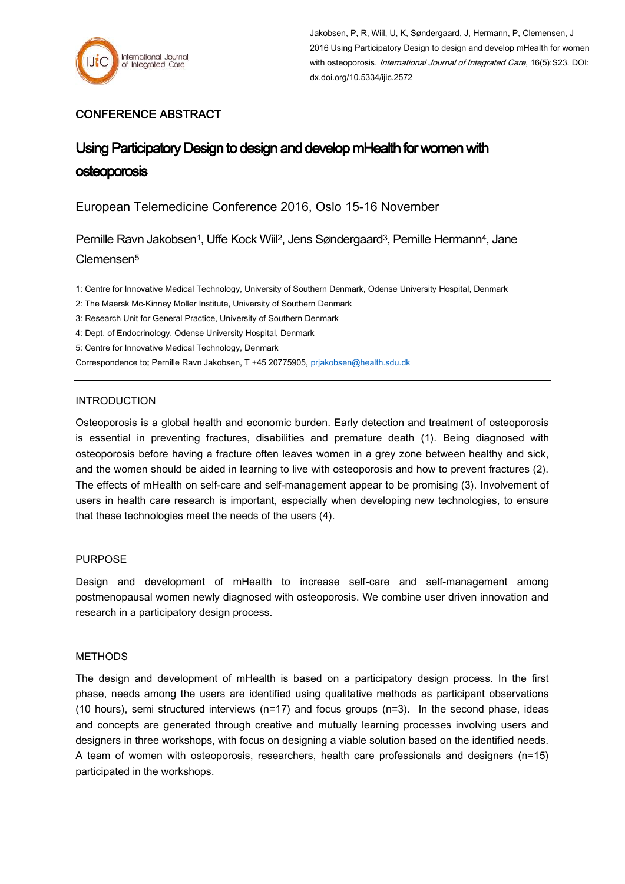## CONFERENCE ABSTRACT

# Using Participatory Design to design and develop mHealth for women with **osteoporosis**

European Telemedicine Conference 2016, Oslo 15-16 November

Pernille Ravn Jakobsen<sup>1</sup>, Uffe Kock Wiil<sup>2</sup>, Jens Søndergaard<sup>3</sup>, Pernille Hermann<sup>4</sup>, Jane Clemensen<sup>5</sup>

1: Centre for Innovative Medical Technology, University of Southern Denmark, Odense University Hospital, Denmark

2: The Maersk Mc-Kinney Moller Institute, University of Southern Denmark

3: Research Unit for General Practice, University of Southern Denmark

4: Dept. of Endocrinology, Odense University Hospital, Denmark

5: Centre for Innovative Medical Technology, Denmark

Correspondence to: Pernille Ravn Jakobsen, T +45 20775905, [prjakobsen@health.sdu.dk](mailto:prjakobsen@health.sdu.dk)

## INTRODUCTION

Osteoporosis is a global health and economic burden. Early detection and treatment of osteoporosis is essential in preventing fractures, disabilities and premature death (1). Being diagnosed with osteoporosis before having a fracture often leaves women in a grey zone between healthy and sick, and the women should be aided in learning to live with osteoporosis and how to prevent fractures (2). The effects of mHealth on self-care and self-management appear to be promising (3). Involvement of users in health care research is important, especially when developing new technologies, to ensure that these technologies meet the needs of the users (4).

## PURPOSE

Design and development of mHealth to increase self-care and self-management among postmenopausal women newly diagnosed with osteoporosis. We combine user driven innovation and research in a participatory design process.

### METHODS

The design and development of mHealth is based on a participatory design process. In the first phase, needs among the users are identified using qualitative methods as participant observations (10 hours), semi structured interviews (n=17) and focus groups (n=3). In the second phase, ideas and concepts are generated through creative and mutually learning processes involving users and designers in three workshops, with focus on designing a viable solution based on the identified needs. A team of women with osteoporosis, researchers, health care professionals and designers (n=15) participated in the workshops.